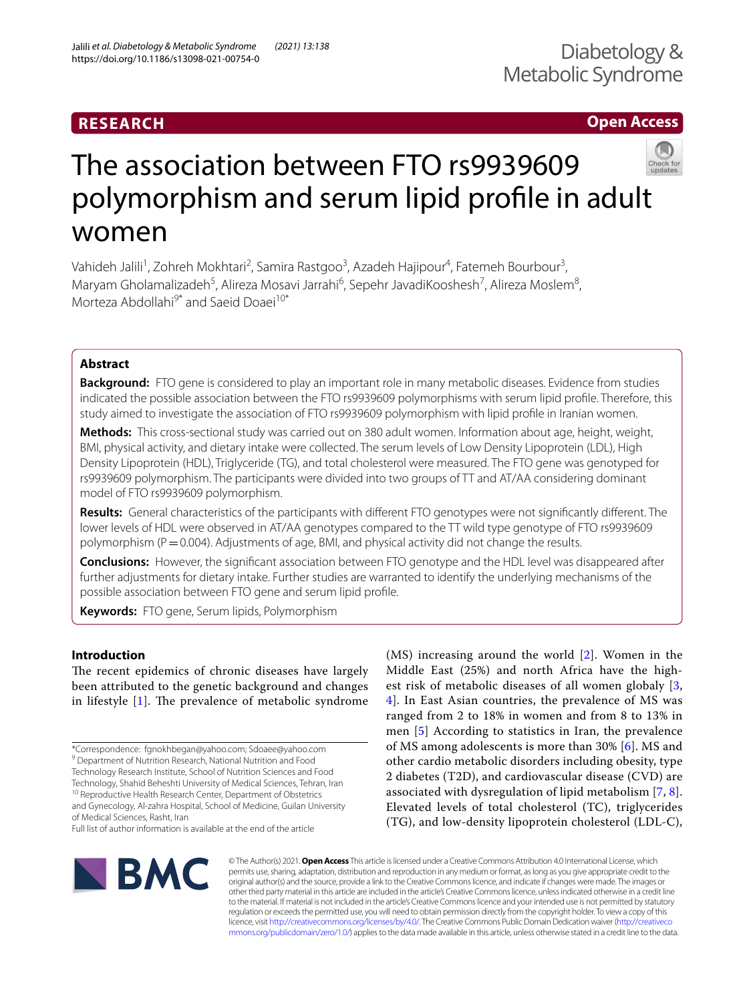## **Open Access**

# The association between FTO rs9939609 polymorphism and serum lipid profle in adult women

Vahideh Jalili<sup>1</sup>, Zohreh Mokhtari<sup>2</sup>, Samira Rastgoo<sup>3</sup>, Azadeh Hajipour<sup>4</sup>, Fatemeh Bourbour<sup>3</sup>, Maryam Gholamalizadeh<sup>5</sup>, Alireza Mosavi Jarrahi<sup>6</sup>, Sepehr JavadiKooshesh<sup>7</sup>, Alireza Moslem<sup>8</sup>, Morteza Abdollahi<sup>9\*</sup> and Saeid Doaei<sup>10\*</sup>

## **Abstract**

**Background:** FTO gene is considered to play an important role in many metabolic diseases. Evidence from studies indicated the possible association between the FTO rs9939609 polymorphisms with serum lipid profle. Therefore, this study aimed to investigate the association of FTO rs9939609 polymorphism with lipid profle in Iranian women.

**Methods:** This cross-sectional study was carried out on 380 adult women. Information about age, height, weight, BMI, physical activity, and dietary intake were collected. The serum levels of Low Density Lipoprotein (LDL), High Density Lipoprotein (HDL), Triglyceride (TG), and total cholesterol were measured. The FTO gene was genotyped for rs9939609 polymorphism. The participants were divided into two groups of TT and AT/AA considering dominant model of FTO rs9939609 polymorphism.

**Results:** General characteristics of the participants with diferent FTO genotypes were not signifcantly diferent. The lower levels of HDL were observed in AT/AA genotypes compared to the TT wild type genotype of FTO rs9939609 polymorphism (P = 0.004). Adjustments of age, BMI, and physical activity did not change the results.

**Conclusions:** However, the signifcant association between FTO genotype and the HDL level was disappeared after further adjustments for dietary intake. Further studies are warranted to identify the underlying mechanisms of the possible association between FTO gene and serum lipid profle.

**Keywords:** FTO gene, Serum lipids, Polymorphism

## **Introduction**

The recent epidemics of chronic diseases have largely been attributed to the genetic background and changes in lifestyle  $[1]$  $[1]$ . The prevalence of metabolic syndrome

\*Correspondence: fgnokhbegan@yahoo.com; Sdoaee@yahoo.com <sup>9</sup> Department of Nutrition Research, National Nutrition and Food Technology Research Institute, School of Nutrition Sciences and Food Technology, Shahid Beheshti University of Medical Sciences, Tehran, Iran <sup>10</sup> Reproductive Health Research Center, Department of Obstetrics

and Gynecology, Al-zahra Hospital, School of Medicine, Guilan University of Medical Sciences, Rasht, Iran

Full list of author information is available at the end of the article

(MS) increasing around the world [[2\]](#page-4-1). Women in the Middle East (25%) and north Africa have the highest risk of metabolic diseases of all women globaly [\[3](#page-4-2), [4\]](#page-4-3). In East Asian countries, the prevalence of MS was ranged from 2 to 18% in women and from 8 to 13% in men [[5](#page-4-4)] According to statistics in Iran, the prevalence of MS among adolescents is more than 30% [[6\]](#page-4-5). MS and other cardio metabolic disorders including obesity, type 2 diabetes (T2D), and cardiovascular disease (CVD) are associated with dysregulation of lipid metabolism [\[7](#page-4-6), [8](#page-4-7)]. Elevated levels of total cholesterol (TC), triglycerides (TG), and low-density lipoprotein cholesterol (LDL-C),



© The Author(s) 2021. **Open Access** This article is licensed under a Creative Commons Attribution 4.0 International License, which permits use, sharing, adaptation, distribution and reproduction in any medium or format, as long as you give appropriate credit to the original author(s) and the source, provide a link to the Creative Commons licence, and indicate if changes were made. The images or other third party material in this article are included in the article's Creative Commons licence, unless indicated otherwise in a credit line to the material. If material is not included in the article's Creative Commons licence and your intended use is not permitted by statutory regulation or exceeds the permitted use, you will need to obtain permission directly from the copyright holder. To view a copy of this licence, visit [http://creativecommons.org/licenses/by/4.0/.](http://creativecommons.org/licenses/by/4.0/) The Creative Commons Public Domain Dedication waiver ([http://creativeco](http://creativecommons.org/publicdomain/zero/1.0/) [mmons.org/publicdomain/zero/1.0/](http://creativecommons.org/publicdomain/zero/1.0/)) applies to the data made available in this article, unless otherwise stated in a credit line to the data.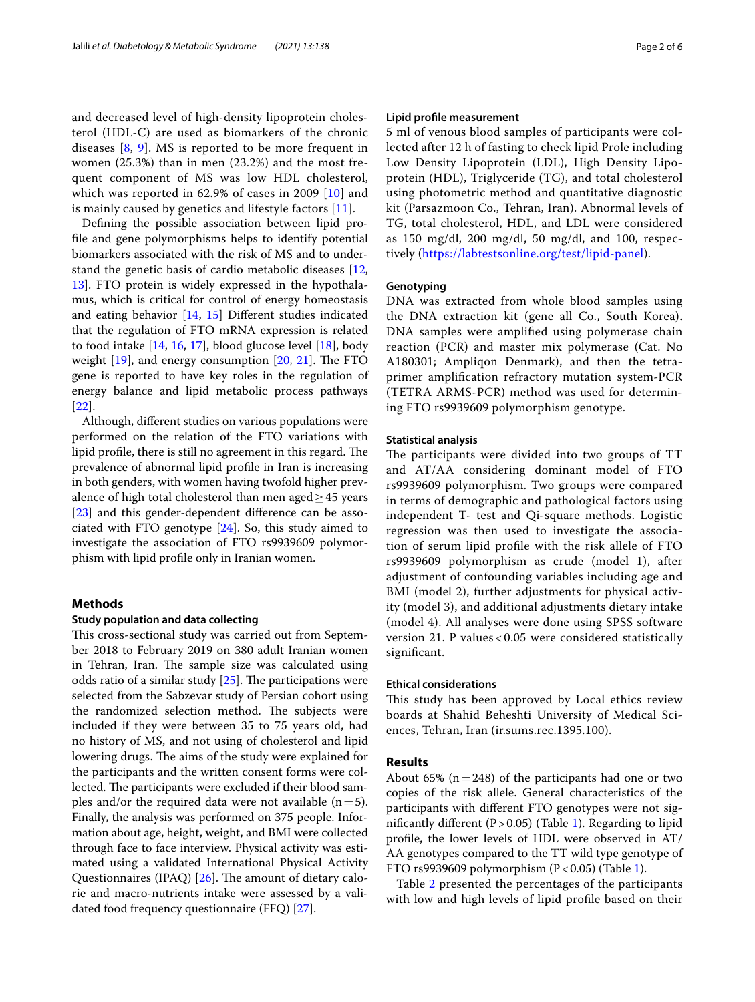and decreased level of high-density lipoprotein cholesterol (HDL-C) are used as biomarkers of the chronic diseases [[8,](#page-4-7) [9\]](#page-4-8). MS is reported to be more frequent in women (25.3%) than in men (23.2%) and the most frequent component of MS was low HDL cholesterol, which was reported in 62.9% of cases in 2009 [\[10\]](#page-4-9) and is mainly caused by genetics and lifestyle factors [[11](#page-4-10)].

Defning the possible association between lipid profle and gene polymorphisms helps to identify potential biomarkers associated with the risk of MS and to understand the genetic basis of cardio metabolic diseases [\[12](#page-4-11), [13\]](#page-4-12). FTO protein is widely expressed in the hypothalamus, which is critical for control of energy homeostasis and eating behavior [\[14,](#page-4-13) [15\]](#page-4-14) Diferent studies indicated that the regulation of FTO mRNA expression is related to food intake [\[14](#page-4-13), [16,](#page-4-15) [17\]](#page-4-16), blood glucose level [\[18](#page-4-17)], body weight  $[19]$  $[19]$ , and energy consumption  $[20, 21]$  $[20, 21]$  $[20, 21]$  $[20, 21]$ . The FTO gene is reported to have key roles in the regulation of energy balance and lipid metabolic process pathways [[22\]](#page-4-21).

Although, diferent studies on various populations were performed on the relation of the FTO variations with lipid profile, there is still no agreement in this regard. The prevalence of abnormal lipid profle in Iran is increasing in both genders, with women having twofold higher prevalence of high total cholesterol than men aged $\geq$ 45 years [[23\]](#page-4-22) and this gender-dependent difference can be associated with FTO genotype [\[24\]](#page-4-23). So, this study aimed to investigate the association of FTO rs9939609 polymorphism with lipid profle only in Iranian women.

### **Methods**

#### **Study population and data collecting**

This cross-sectional study was carried out from September 2018 to February 2019 on 380 adult Iranian women in Tehran, Iran. The sample size was calculated using odds ratio of a similar study  $[25]$  $[25]$ . The participations were selected from the Sabzevar study of Persian cohort using the randomized selection method. The subjects were included if they were between 35 to 75 years old, had no history of MS, and not using of cholesterol and lipid lowering drugs. The aims of the study were explained for the participants and the written consent forms were collected. The participants were excluded if their blood samples and/or the required data were not available  $(n=5)$ . Finally, the analysis was performed on 375 people. Information about age, height, weight, and BMI were collected through face to face interview. Physical activity was estimated using a validated International Physical Activity Questionnaires (IPAQ)  $[26]$ . The amount of dietary calorie and macro-nutrients intake were assessed by a validated food frequency questionnaire (FFQ) [\[27](#page-4-26)].

#### **Lipid profle measurement**

5 ml of venous blood samples of participants were collected after 12 h of fasting to check lipid Prole including Low Density Lipoprotein (LDL), High Density Lipoprotein (HDL), Triglyceride (TG), and total cholesterol using photometric method and quantitative diagnostic kit (Parsazmoon Co., Tehran, Iran). Abnormal levels of TG, total cholesterol, HDL, and LDL were considered as 150 mg/dl, 200 mg/dl, 50 mg/dl, and 100, respectively [\(https://labtestsonline.org/test/lipid-panel](https://labtestsonline.org/test/lipid-panel)).

#### **Genotyping**

DNA was extracted from whole blood samples using the DNA extraction kit (gene all Co., South Korea). DNA samples were amplifed using polymerase chain reaction (PCR) and master mix polymerase (Cat. No A180301; Ampliqon Denmark), and then the tetraprimer amplifcation refractory mutation system-PCR (TETRA ARMS-PCR) method was used for determining FTO rs9939609 polymorphism genotype.

#### **Statistical analysis**

The participants were divided into two groups of TT and AT/AA considering dominant model of FTO rs9939609 polymorphism. Two groups were compared in terms of demographic and pathological factors using independent T- test and Qi-square methods. Logistic regression was then used to investigate the association of serum lipid profle with the risk allele of FTO rs9939609 polymorphism as crude (model 1), after adjustment of confounding variables including age and BMI (model 2), further adjustments for physical activity (model 3), and additional adjustments dietary intake (model 4). All analyses were done using SPSS software version 21. P values < 0.05 were considered statistically signifcant.

#### **Ethical considerations**

This study has been approved by Local ethics review boards at Shahid Beheshti University of Medical Sciences, Tehran, Iran (ir.sums.rec.1395.100).

#### **Results**

About 65% ( $n=248$ ) of the participants had one or two copies of the risk allele. General characteristics of the participants with diferent FTO genotypes were not significantly different ( $P > 0.05$ ) (Table [1](#page-2-0)). Regarding to lipid profle, the lower levels of HDL were observed in AT/ AA genotypes compared to the TT wild type genotype of FTO rs9939609 polymorphism  $(P < 0.05)$  (Table [1](#page-2-0)).

Table [2](#page-2-1) presented the percentages of the participants with low and high levels of lipid profle based on their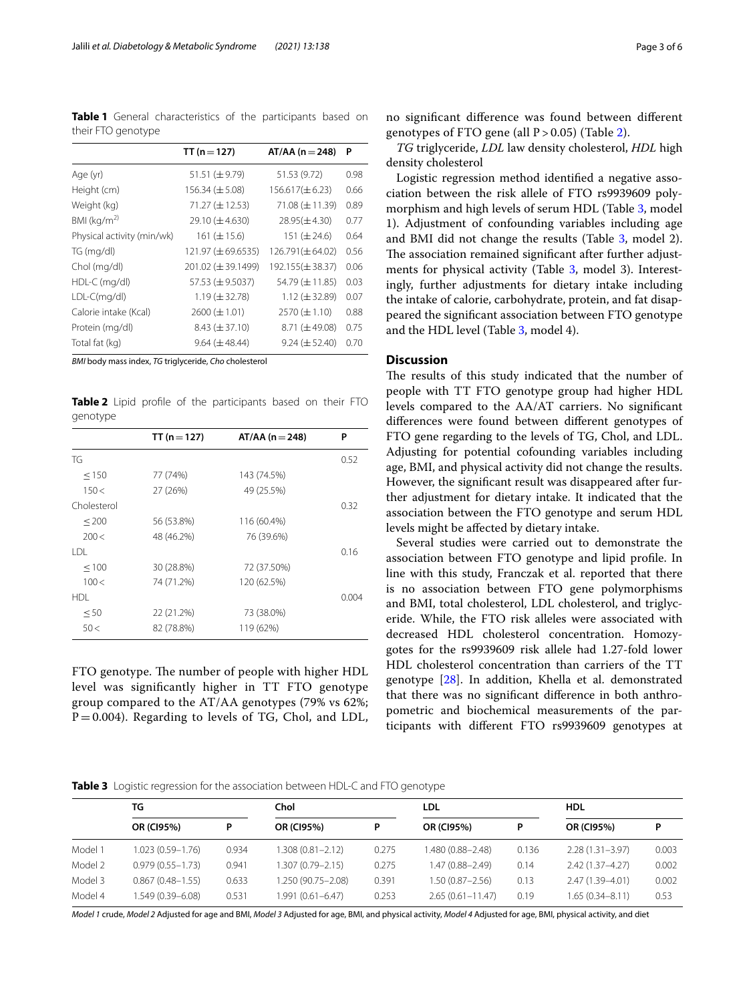<span id="page-2-0"></span>**Table 1** General characteristics of the participants based on their FTO genotype

|                            | TT ( $n = 127$ )     | $AT/AA$ (n = 248)    | P    |
|----------------------------|----------------------|----------------------|------|
| Age (yr)                   | 51.51 $(\pm 9.79)$   | 51.53 (9.72)         | 0.98 |
| Height (cm)                | 156.34 $(\pm 5.08)$  | $156.617(\pm 6.23)$  | 0.66 |
| Weight (kg)                | $71.27 (\pm 12.53)$  | $71.08 (\pm 11.39)$  | 0.89 |
| BMI $(kq/m^2)$             | $29.10 (\pm 4.630)$  | $28.95(\pm 4.30)$    | 0.77 |
| Physical activity (min/wk) | 161 $(\pm 15.6)$     | 151 $(\pm 24.6)$     | 0.64 |
| TG (mg/dl)                 | 121.97 (±69.6535)    | $126.791(\pm 64.02)$ | 0.56 |
| Chol (mg/dl)               | 201.02 (± 39.1499)   | 192.155(±38.37)      | 0.06 |
| $HDL-C$ (mg/dl)            | 57.53 (±9.5037)      | 54.79 (± 11.85)      | 0.03 |
| $LDL-C(mq/dl)$             | $1.19 \times 32.78$  | $1.12 \ (\pm 32.89)$ | 0.07 |
| Calorie intake (Kcal)      | $2600 (\pm 1.01)$    | $2570 (\pm 1.10)$    | 0.88 |
| Protein (mg/dl)            | $8.43 \ (\pm 37.10)$ | $8.71 (\pm 49.08)$   | 0.75 |
| Total fat (kg)             | $9.64 (\pm 48.44)$   | $9.24 \ (\pm 52.40)$ | 0.70 |

*BMI* body mass index, *TG* triglyceride, *Cho* cholesterol

<span id="page-2-1"></span>**Table 2** Lipid profile of the participants based on their FTO genotype

|             | TT ( $n = 127$ ) | $AT/AA$ (n = 248) | P     |
|-------------|------------------|-------------------|-------|
| TG          |                  |                   | 0.52  |
| < 150       | 77 (74%)         | 143 (74.5%)       |       |
| 150<        | 27 (26%)         | 49 (25.5%)        |       |
| Cholesterol |                  |                   | 0.32  |
| < 200       | 56 (53.8%)       | 116 (60.4%)       |       |
| 200<        | 48 (46.2%)       | 76 (39.6%)        |       |
| I DI        |                  |                   | 0.16  |
| < 100       | 30 (28.8%)       | 72 (37.50%)       |       |
| 100<        | 74 (71.2%)       | 120 (62.5%)       |       |
| HDI         |                  |                   | 0.004 |
| < 50        | 22 (21.2%)       | 73 (38.0%)        |       |
| 50<         | 82 (78.8%)       | 119 (62%)         |       |

FTO genotype. The number of people with higher HDL level was signifcantly higher in TT FTO genotype group compared to the AT/AA genotypes (79% vs 62%;  $P=0.004$ ). Regarding to levels of TG, Chol, and LDL, no signifcant diference was found between diferent genotypes of FTO gene (all  $P > 0.05$ ) (Table [2\)](#page-2-1).

*TG* triglyceride, *LDL* law density cholesterol, *HDL* high density cholesterol

Logistic regression method identifed a negative association between the risk allele of FTO rs9939609 polymorphism and high levels of serum HDL (Table [3](#page-2-2), model 1). Adjustment of confounding variables including age and BMI did not change the results (Table [3](#page-2-2), model 2). The association remained significant after further adjust-ments for physical activity (Table [3](#page-2-2), model 3). Interestingly, further adjustments for dietary intake including the intake of calorie, carbohydrate, protein, and fat disappeared the signifcant association between FTO genotype and the HDL level (Table [3,](#page-2-2) model 4).

## **Discussion**

The results of this study indicated that the number of people with TT FTO genotype group had higher HDL levels compared to the AA/AT carriers. No signifcant diferences were found between diferent genotypes of FTO gene regarding to the levels of TG, Chol, and LDL. Adjusting for potential cofounding variables including age, BMI, and physical activity did not change the results. However, the signifcant result was disappeared after further adjustment for dietary intake. It indicated that the association between the FTO genotype and serum HDL levels might be afected by dietary intake.

Several studies were carried out to demonstrate the association between FTO genotype and lipid profle. In line with this study, Franczak et al. reported that there is no association between FTO gene polymorphisms and BMI, total cholesterol, LDL cholesterol, and triglyceride. While, the FTO risk alleles were associated with decreased HDL cholesterol concentration. Homozygotes for the rs9939609 risk allele had 1.27-fold lower HDL cholesterol concentration than carriers of the TT genotype [\[28\]](#page-4-27). In addition, Khella et al. demonstrated that there was no signifcant diference in both anthropometric and biochemical measurements of the participants with diferent FTO rs9939609 genotypes at

<span id="page-2-2"></span>**Table 3** Logistic regression for the association between HDL-C and FTO genotype

|         | TG                   |       | Chol                |       | LDL                  |       | <b>HDL</b>          |       |  |  |
|---------|----------------------|-------|---------------------|-------|----------------------|-------|---------------------|-------|--|--|
|         | OR (CI95%)           |       | OR (CI95%)          | Ρ     | <b>OR (CI95%)</b>    | P     | OR (CI95%)          | P     |  |  |
| Model 1 | 1.023 (0.59-1.76)    | 0.934 | 1.308 (0.81-2.12)   | 0.275 | 1.480 (0.88-2.48)    | 0.136 | $2.28(1.31 - 3.97)$ | 0.003 |  |  |
| Model 2 | $0.979(0.55 - 1.73)$ | 0.941 | 1.307 (0.79–2.15)   | 0.275 | 1.47 (0.88-2.49)     | 0.14  | $2.42(1.37 - 4.27)$ | 0.002 |  |  |
| Model 3 | $0.867(0.48 - 1.55)$ | 0.633 | 1.250 (90.75-2.08)  | 0.391 | $1.50(0.87 - 2.56)$  | 0.13  | 2.47 (1.39-4.01)    | 0.002 |  |  |
| Model 4 | 1.549 (0.39–6.08)    | 0.531 | $.991(0.61 - 6.47)$ | 0.253 | $2.65(0.61 - 11.47)$ | 0.19  | $1.65(0.34 - 8.11)$ | 0.53  |  |  |

*Model 1* crude, *Model 2* Adjusted for age and BMI, *Model 3* Adjusted for age, BMI, and physical activity, *Model 4* Adjusted for age, BMI, physical activity, and diet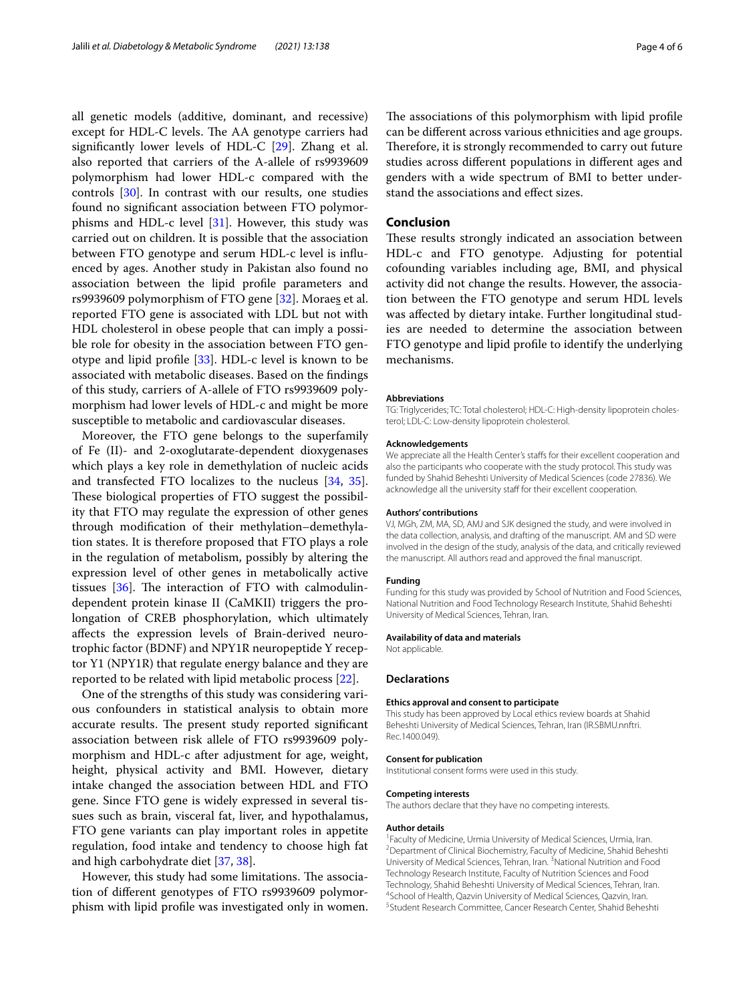all genetic models (additive, dominant, and recessive) except for HDL-C levels. The AA genotype carriers had signifcantly lower levels of HDL-C [\[29](#page-4-28)]. Zhang et al. also reported that carriers of the A-allele of rs9939609 polymorphism had lower HDL-c compared with the controls [[30](#page-4-29)]. In contrast with our results, one studies found no signifcant association between FTO polymorphisms and HDL-c level  $[31]$  $[31]$ . However, this study was carried out on children. It is possible that the association between FTO genotype and serum HDL-c level is infuenced by ages. Another study in Pakistan also found no association between the lipid profle parameters and rs9939609 polymorphism of FTO gene [\[32](#page-4-31)]. Moraes et al. reported FTO gene is associated with LDL but not with HDL cholesterol in obese people that can imply a possible role for obesity in the association between FTO genotype and lipid profle [[33\]](#page-4-32). HDL-c level is known to be associated with metabolic diseases. Based on the fndings of this study, carriers of A-allele of FTO rs9939609 polymorphism had lower levels of HDL-c and might be more susceptible to metabolic and cardiovascular diseases.

Moreover, the FTO gene belongs to the superfamily of Fe (II)- and 2-oxoglutarate-dependent dioxygenases which plays a key role in demethylation of nucleic acids and transfected FTO localizes to the nucleus [[34,](#page-4-33) [35](#page-4-34)]. These biological properties of FTO suggest the possibility that FTO may regulate the expression of other genes through modifcation of their methylation–demethylation states. It is therefore proposed that FTO plays a role in the regulation of metabolism, possibly by altering the expression level of other genes in metabolically active tissues  $[36]$  $[36]$ . The interaction of FTO with calmodulindependent protein kinase II (CaMKII) triggers the prolongation of CREB phosphorylation, which ultimately afects the expression levels of Brain-derived neurotrophic factor (BDNF) and NPY1R neuropeptide Y receptor Y1 (NPY1R) that regulate energy balance and they are reported to be related with lipid metabolic process [\[22\]](#page-4-21).

One of the strengths of this study was considering various confounders in statistical analysis to obtain more accurate results. The present study reported significant association between risk allele of FTO rs9939609 polymorphism and HDL-c after adjustment for age, weight, height, physical activity and BMI. However, dietary intake changed the association between HDL and FTO gene. Since FTO gene is widely expressed in several tissues such as brain, visceral fat, liver, and hypothalamus, FTO gene variants can play important roles in appetite regulation, food intake and tendency to choose high fat and high carbohydrate diet [\[37,](#page-5-0) [38](#page-5-1)].

However, this study had some limitations. The association of diferent genotypes of FTO rs9939609 polymorphism with lipid profle was investigated only in women.

The associations of this polymorphism with lipid profile can be diferent across various ethnicities and age groups. Therefore, it is strongly recommended to carry out future studies across diferent populations in diferent ages and genders with a wide spectrum of BMI to better understand the associations and efect sizes.

#### **Conclusion**

These results strongly indicated an association between HDL-c and FTO genotype. Adjusting for potential cofounding variables including age, BMI, and physical activity did not change the results. However, the association between the FTO genotype and serum HDL levels was afected by dietary intake. Further longitudinal studies are needed to determine the association between FTO genotype and lipid profle to identify the underlying mechanisms.

#### **Abbreviations**

TG: Triglycerides; TC: Total cholesterol; HDL-C: High-density lipoprotein cholesterol; LDL-C: Low-density lipoprotein cholesterol.

#### **Acknowledgements**

We appreciate all the Health Center's staffs for their excellent cooperation and also the participants who cooperate with the study protocol. This study was funded by Shahid Beheshti University of Medical Sciences (code 27836). We acknowledge all the university staff for their excellent cooperation.

#### **Authors' contributions**

VJ, MGh, ZM, MA, SD, AMJ and SJK designed the study, and were involved in the data collection, analysis, and drafting of the manuscript. AM and SD were involved in the design of the study, analysis of the data, and critically reviewed the manuscript. All authors read and approved the fnal manuscript.

#### **Funding**

Funding for this study was provided by School of Nutrition and Food Sciences, National Nutrition and Food Technology Research Institute, Shahid Beheshti University of Medical Sciences, Tehran, Iran.

#### **Availability of data and materials**

Not applicable.

#### **Declarations**

### **Ethics approval and consent to participate**

This study has been approved by Local ethics review boards at Shahid Beheshti University of Medical Sciences, Tehran, Iran (IR.SBMU.nnftri. Rec.1400.049).

#### **Consent for publication**

Institutional consent forms were used in this study.

#### **Competing interests**

The authors declare that they have no competing interests.

#### **Author details**

<sup>1</sup> Faculty of Medicine, Urmia University of Medical Sciences, Urmia, Iran.<br><sup>2</sup> Department of Clinical Biochemistry, Faculty of Medicine, Shabid Behe <sup>2</sup> Department of Clinical Biochemistry, Faculty of Medicine, Shahid Beheshti University of Medical Sciences, Tehran, Iran.<sup>3</sup> National Nutrition and Food Technology Research Institute, Faculty of Nutrition Sciences and Food Technology, Shahid Beheshti University of Medical Sciences, Tehran, Iran. 4 <sup>4</sup>School of Health, Qazvin University of Medical Sciences, Qazvin, Iran. <sup>5</sup> Student Research Committee, Cancer Research Center, Shahid Beheshti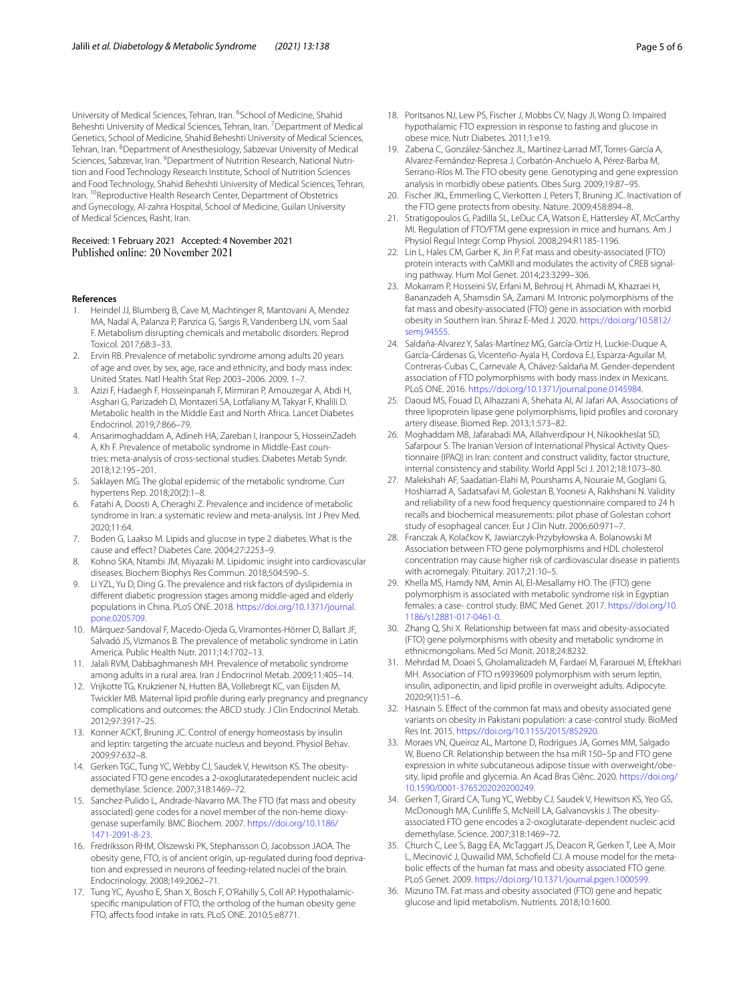University of Medical Sciences, Tehran, Iran. <sup>6</sup>School of Medicine, Shahid Beheshti University of Medical Sciences, Tehran, Iran. <sup>7</sup> Department of Medical Genetics, School of Medicine, Shahid Beheshti University of Medical Sciences, Tehran, Iran. <sup>8</sup> Department of Anesthesiology, Sabzevar University of Medical Sciences, Sabzevar, Iran. <sup>9</sup> Department of Nutrition Research, National Nutrition and Food Technology Research Institute, School of Nutrition Sciences and Food Technology, Shahid Beheshti University of Medical Sciences, Tehran, Iran. <sup>10</sup>Reproductive Health Research Center, Department of Obstetrics and Gynecology, Al-zahra Hospital, School of Medicine, Guilan University of Medical Sciences, Rasht, Iran.

#### Received: 1 February 2021 Accepted: 4 November 2021 Published online: 20 November 2021

#### **References**

- <span id="page-4-0"></span>1. Heindel JJ, Blumberg B, Cave M, Machtinger R, Mantovani A, Mendez MA, Nadal A, Palanza P, Panzica G, Sargis R, Vandenberg LN, vom Saal F. Metabolism disrupting chemicals and metabolic disorders. Reprod Toxicol. 2017;68:3–33.
- <span id="page-4-1"></span>2. Ervin RB. Prevalence of metabolic syndrome among adults 20 years of age and over, by sex, age, race and ethnicity, and body mass index: United States. Natl Health Stat Rep 2003–2006. 2009. 1–7.
- <span id="page-4-2"></span>3. Azizi F, Hadaegh F, Hosseinpanah F, Mirmiran P, Amouzegar A, Abdi H, Asghari G, Parizadeh D, Montazeri SA, Lotfaliany M, Takyar F, Khalili D. Metabolic health in the Middle East and North Africa. Lancet Diabetes Endocrinol. 2019;7:866–79.
- <span id="page-4-3"></span>4. Ansarimoghaddam A, Adineh HA, Zareban I, Iranpour S, HosseinZadeh A, Kh F. Prevalence of metabolic syndrome in Middle-East countries: meta-analysis of cross-sectional studies. Diabetes Metab Syndr. 2018;12:195–201.
- <span id="page-4-4"></span>5. Saklayen MG. The global epidemic of the metabolic syndrome. Curr hypertens Rep. 2018;20(2):1–8.
- <span id="page-4-5"></span>6. Fatahi A, Doosti A, Cheraghi Z. Prevalence and incidence of metabolic syndrome in Iran: a systematic review and meta-analysis. Int J Prev Med. 2020;11:64.
- <span id="page-4-6"></span>7. Boden G, Laakso M. Lipids and glucose in type 2 diabetes. What is the cause and efect? Diabetes Care. 2004;27:2253–9.
- <span id="page-4-7"></span>8. Kohno SKA, Ntambi JM, Miyazaki M. Lipidomic insight into cardiovascular diseases. Biochem Biophys Res Commun. 2018;504:590–5.
- <span id="page-4-8"></span>9. Li YZL, Yu D, Ding G. The prevalence and risk factors of dyslipidemia in diferent diabetic progression stages among middle-aged and elderly populations in China. PLoS ONE. 2018. [https://doi.org/10.1371/journal.](https://doi.org/10.1371/journal.pone.0205709) [pone.0205709](https://doi.org/10.1371/journal.pone.0205709).
- <span id="page-4-9"></span>10. Márquez-Sandoval F, Macedo-Ojeda G, Viramontes-Hörner D, Ballart JF, Salvadó JS, Vizmanos B. The prevalence of metabolic syndrome in Latin America. Public Health Nutr. 2011;14:1702–13.
- <span id="page-4-10"></span>11. Jalali RVM, Dabbaghmanesh MH. Prevalence of metabolic syndrome among adults in a rural area. Iran J Endocrinol Metab. 2009;11:405–14.
- <span id="page-4-11"></span>12. Vrijkotte TG, Krukziener N, Hutten BA, Vollebregt KC, van Eijsden M, Twickler MB. Maternal lipid profle during early pregnancy and pregnancy complications and outcomes: the ABCD study. J Clin Endocrinol Metab. 2012;97:3917–25.
- <span id="page-4-12"></span>13. Konner ACKT, Bruning JC. Control of energy homeostasis by insulin and leptin: targeting the arcuate nucleus and beyond. Physiol Behav. 2009;97:632–8.
- <span id="page-4-13"></span>14. Gerken TGC, Tung YC, Webby CJ, Saudek V, Hewitson KS. The obesityassociated FTO gene encodes a 2-oxoglutaratedependent nucleic acid demethylase. Science. 2007;318:1469–72.
- <span id="page-4-14"></span>15. Sanchez-Pulido L, Andrade-Navarro MA. The FTO (fat mass and obesity associated) gene codes for a novel member of the non-heme dioxygenase superfamily. BMC Biochem. 2007. [https://doi.org/10.1186/](https://doi.org/10.1186/1471-2091-8-23) [1471-2091-8-23.](https://doi.org/10.1186/1471-2091-8-23)
- <span id="page-4-15"></span>16. Fredriksson RHM, Olszewski PK, Stephansson O, Jacobsson JAOA. The obesity gene, FTO, is of ancient origin, up-regulated during food deprivation and expressed in neurons of feeding-related nuclei of the brain. Endocrinology. 2008;149:2062–71.
- <span id="page-4-16"></span>17. Tung YC, Ayusho E, Shan X, Bosch F, O'Rahilly S, Coll AP. Hypothalamicspecifc manipulation of FTO, the ortholog of the human obesity gene FTO, afects food intake in rats. PLoS ONE. 2010;5:e8771.
- <span id="page-4-17"></span>18. Poritsanos NJ, Lew PS, Fischer J, Mobbs CV, Nagy JI, Wong D. Impaired hypothalamic FTO expression in response to fasting and glucose in
- <span id="page-4-18"></span>obese mice. Nutr Diabetes. 2011;1:e19. 19. Zabena C, González-Sánchez JL, Martínez-Larrad MT, Torres-García A, Alvarez-Fernández-Represa J, Corbatón-Anchuelo A, Pérez-Barba M, Serrano-Ríos M. The FTO obesity gene. Genotyping and gene expression analysis in morbidly obese patients. Obes Surg. 2009;19:87–95.
- <span id="page-4-19"></span>20. Fischer JKL, Emmerling C, Vierkotten J, Peters T, Bruning JC. Inactivation of the FTO gene protects from obesity. Nature. 2009;458:894–8.
- <span id="page-4-20"></span>21. Stratigopoulos G, Padilla SL, LeDuc CA, Watson E, Hattersley AT, McCarthy MI. Regulation of FTO/FTM gene expression in mice and humans. Am J Physiol Regul Integr Comp Physiol. 2008;294:R1185-1196.
- <span id="page-4-21"></span>22. Lin L, Hales CM, Garber K, Jin P. Fat mass and obesity-associated (FTO) protein interacts with CaMKII and modulates the activity of CREB signaling pathway. Hum Mol Genet. 2014;23:3299–306.
- <span id="page-4-22"></span>23. Mokarram P, Hosseini SV, Erfani M, Behrouj H, Ahmadi M, Khazraei H, Bananzadeh A, Shamsdin SA, Zamani M. Intronic polymorphisms of the fat mass and obesity-associated (FTO) gene in association with morbid obesity in Southern Iran. Shiraz E-Med J. 2020. [https://doi.org/10.5812/](https://doi.org/10.5812/semj.94555) [semj.94555](https://doi.org/10.5812/semj.94555).
- <span id="page-4-23"></span>24. Saldaña-Alvarez Y, Salas-Martínez MG, García-Ortiz H, Luckie-Duque A, García-Cárdenas G, Vicenteño-Ayala H, Cordova EJ, Esparza-Aguilar M, Contreras-Cubas C, Carnevale A, Chávez-Saldaña M. Gender-dependent association of FTO polymorphisms with body mass index in Mexicans. PLoS ONE. 2016. <https://doi.org/10.1371/journal.pone.0145984>.
- <span id="page-4-24"></span>25. Daoud MS, Fouad D, Alhazzani A, Shehata AI, Al Jafari AA. Associations of three lipoprotein lipase gene polymorphisms, lipid profles and coronary artery disease. Biomed Rep. 2013;1:573–82.
- <span id="page-4-25"></span>26. Moghaddam MB, Jafarabadi MA, Allahverdipour H, Nikookheslat SD, Safarpour S. The Iranian Version of International Physical Activity Questionnaire (IPAQ) in Iran: content and construct validity, factor structure, internal consistency and stability. World Appl Sci J. 2012;18:1073–80.
- <span id="page-4-26"></span>27. Malekshah AF, Saadatian-Elahi M, Pourshams A, Nouraie M, Goglani G, Hoshiarrad A, Sadatsafavi M, Golestan B, Yoonesi A, Rakhshani N. Validity and reliability of a new food frequency questionnaire compared to 24 h recalls and biochemical measurements: pilot phase of Golestan cohort study of esophageal cancer. Eur J Clin Nutr. 2006;60:971–7.
- <span id="page-4-27"></span>28. Franczak A, Kolačkov K, Jawiarczyk-Przybyłowska A. Bolanowski M Association between FTO gene polymorphisms and HDL cholesterol concentration may cause higher risk of cardiovascular disease in patients with acromegaly. Pituitary. 2017;21:10–5.
- <span id="page-4-28"></span>29. Khella MS, Hamdy NM, Amin AI, El-Mesallamy HO. The (FTO) gene polymorphism is associated with metabolic syndrome risk in Egyptian females: a case- control study. BMC Med Genet. 2017. [https://doi.org/10.](https://doi.org/10.1186/s12881-017-0461-0) [1186/s12881-017-0461-0](https://doi.org/10.1186/s12881-017-0461-0).
- <span id="page-4-29"></span>30. Zhang Q, Shi X. Relationship between fat mass and obesity-associated (FTO) gene polymorphisms with obesity and metabolic syndrome in ethnicmongolians. Med Sci Monit. 2018;24:8232.
- <span id="page-4-30"></span>31. Mehrdad M, Doaei S, Gholamalizadeh M, Fardaei M, Fararouei M, Eftekhari MH. Association of FTO rs9939609 polymorphism with serum leptin, insulin, adiponectin, and lipid profle in overweight adults. Adipocyte. 2020;9(1):51–6.
- <span id="page-4-31"></span>32. Hasnain S. Efect of the common fat mass and obesity associated gene variants on obesity in Pakistani population: a case-control study. BioMed Res Int. 2015.<https://doi.org/10.1155/2015/852920>.
- <span id="page-4-32"></span>33. Moraes VN, Queiroz AL, Martone D, Rodrigues JA, Gomes MM, Salgado W, Bueno CR. Relationship between the hsa miR 150–5p and FTO gene expression in white subcutaneous adipose tissue with overweight/obesity, lipid profle and glycemia. An Acad Bras Ciênc. 2020. [https://doi.org/](https://doi.org/10.1590/0001-3765202020200249) [10.1590/0001-3765202020200249](https://doi.org/10.1590/0001-3765202020200249).
- <span id="page-4-33"></span>34. Gerken T, Girard CA, Tung YC, Webby CJ, Saudek V, Hewitson KS, Yeo GS, McDonough MA, Cunlife S, McNeill LA, Galvanovskis J. The obesityassociated FTO gene encodes a 2-oxoglutarate-dependent nucleic acid demethylase. Science. 2007;318:1469–72.
- <span id="page-4-34"></span>35. Church C, Lee S, Bagg EA, McTaggart JS, Deacon R, Gerken T, Lee A, Moir L, Mecinović J, Quwailid MM, Schofeld CJ. A mouse model for the metabolic efects of the human fat mass and obesity associated FTO gene. PLoS Genet. 2009. <https://doi.org/10.1371/journal.pgen.1000599>.
- <span id="page-4-35"></span>36. Mizuno TM. Fat mass and obesity associated (FTO) gene and hepatic glucose and lipid metabolism. Nutrients. 2018;10:1600.